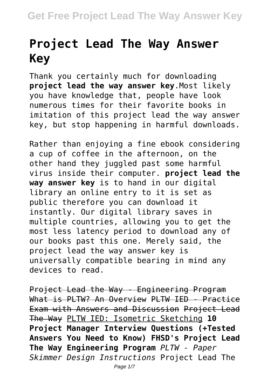## **Project Lead The Way Answer Key**

Thank you certainly much for downloading **project lead the way answer key**.Most likely you have knowledge that, people have look numerous times for their favorite books in imitation of this project lead the way answer key, but stop happening in harmful downloads.

Rather than enjoying a fine ebook considering a cup of coffee in the afternoon, on the other hand they juggled past some harmful virus inside their computer. **project lead the way answer key** is to hand in our digital library an online entry to it is set as public therefore you can download it instantly. Our digital library saves in multiple countries, allowing you to get the most less latency period to download any of our books past this one. Merely said, the project lead the way answer key is universally compatible bearing in mind any devices to read.

Project Lead the Way - Engineering Program What is PLTW? An Overview PLTW IED - Practice Exam with Answers and Discussion Project Lead The Way PLTW IED: Isometric Sketching **10 Project Manager Interview Questions (+Tested Answers You Need to Know) FHSD's Project Lead The Way Engineering Program** *PLTW - Paper Skimmer Design Instructions* Project Lead The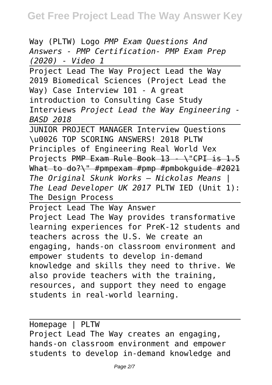Way (PLTW) Logo *PMP Exam Questions And Answers - PMP Certification- PMP Exam Prep (2020) - Video 1*

Project Lead The Way Project Lead the Way 2019 Biomedical Sciences (Project Lead the Way) Case Interview 101 - A great introduction to Consulting Case Study Interviews *Project Lead the Way Engineering - BASD 2018*

JUNIOR PROJECT MANAGER Interview Questions \u0026 TOP SCORING ANSWERS! 2018 PLTW Principles of Engineering Real World Vex Projects PMP Exam Rule Book 13 - \"CPI is 1.5 What to do?\" #pmpexam #pmp #pmbokguide #2021 *The Original Skunk Works – Nickolas Means | The Lead Developer UK 2017* PLTW IED (Unit 1): The Design Process

Project Lead The Way Answer Project Lead The Way provides transformative learning experiences for PreK-12 students and teachers across the U.S. We create an engaging, hands-on classroom environment and empower students to develop in-demand knowledge and skills they need to thrive. We also provide teachers with the training, resources, and support they need to engage students in real-world learning.

Homepage | PLTW Project Lead The Way creates an engaging, hands-on classroom environment and empower students to develop in-demand knowledge and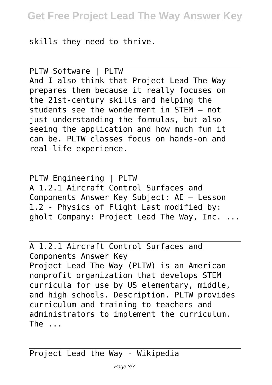skills they need to thrive.

PLTW Software | PLTW And I also think that Project Lead The Way prepares them because it really focuses on the 21st-century skills and helping the students see the wonderment in STEM – not just understanding the formulas, but also seeing the application and how much fun it can be. PLTW classes focus on hands-on and real-life experience.

PLTW Engineering | PLTW A 1.2.1 Aircraft Control Surfaces and Components Answer Key Subject: AE – Lesson 1.2 - Physics of Flight Last modified by: gholt Company: Project Lead The Way, Inc. ...

A 1.2.1 Aircraft Control Surfaces and Components Answer Key Project Lead The Way (PLTW) is an American nonprofit organization that develops STEM curricula for use by US elementary, middle, and high schools. Description. PLTW provides curriculum and training to teachers and administrators to implement the curriculum. The ...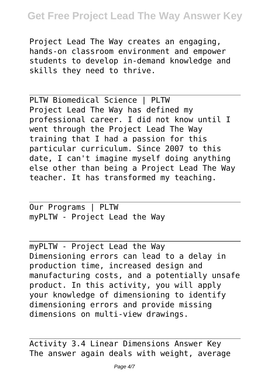Project Lead The Way creates an engaging, hands-on classroom environment and empower students to develop in-demand knowledge and skills they need to thrive.

PLTW Biomedical Science | PLTW Project Lead The Way has defined my professional career. I did not know until I went through the Project Lead The Way training that I had a passion for this particular curriculum. Since 2007 to this date, I can't imagine myself doing anything else other than being a Project Lead The Way teacher. It has transformed my teaching.

Our Programs | PLTW myPLTW - Project Lead the Way

myPLTW - Project Lead the Way Dimensioning errors can lead to a delay in production time, increased design and manufacturing costs, and a potentially unsafe product. In this activity, you will apply your knowledge of dimensioning to identify dimensioning errors and provide missing dimensions on multi-view drawings.

Activity 3.4 Linear Dimensions Answer Key The answer again deals with weight, average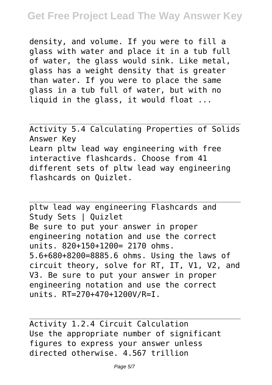density, and volume. If you were to fill a glass with water and place it in a tub full of water, the glass would sink. Like metal, glass has a weight density that is greater than water. If you were to place the same glass in a tub full of water, but with no liquid in the glass, it would float ...

Activity 5.4 Calculating Properties of Solids Answer Key Learn pltw lead way engineering with free interactive flashcards. Choose from 41 different sets of pltw lead way engineering flashcards on Quizlet.

pltw lead way engineering Flashcards and Study Sets | Quizlet Be sure to put your answer in proper engineering notation and use the correct units. 820+150+1200= 2170 ohms. 5.6+680+8200=8885.6 ohms. Using the laws of circuit theory, solve for RT, IT, V1, V2, and V3. Be sure to put your answer in proper engineering notation and use the correct units. RT=270+470+1200V/R=I.

Activity 1.2.4 Circuit Calculation Use the appropriate number of significant figures to express your answer unless directed otherwise. 4.567 trillion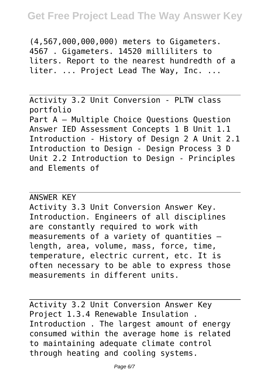(4,567,000,000,000) meters to Gigameters. 4567 . Gigameters. 14520 milliliters to liters. Report to the nearest hundredth of a liter. ... Project Lead The Way, Inc. ...

Activity 3.2 Unit Conversion - PLTW class portfolio Part A – Multiple Choice Questions Question Answer IED Assessment Concepts 1 B Unit 1.1 Introduction - History of Design 2 A Unit 2.1 Introduction to Design - Design Process 3 D Unit 2.2 Introduction to Design - Principles and Elements of

## ANSWER KEY

Activity 3.3 Unit Conversion Answer Key. Introduction. Engineers of all disciplines are constantly required to work with measurements of a variety of quantities – length, area, volume, mass, force, time, temperature, electric current, etc. It is often necessary to be able to express those measurements in different units.

Activity 3.2 Unit Conversion Answer Key Project 1.3.4 Renewable Insulation . Introduction . The largest amount of energy consumed within the average home is related to maintaining adequate climate control through heating and cooling systems.